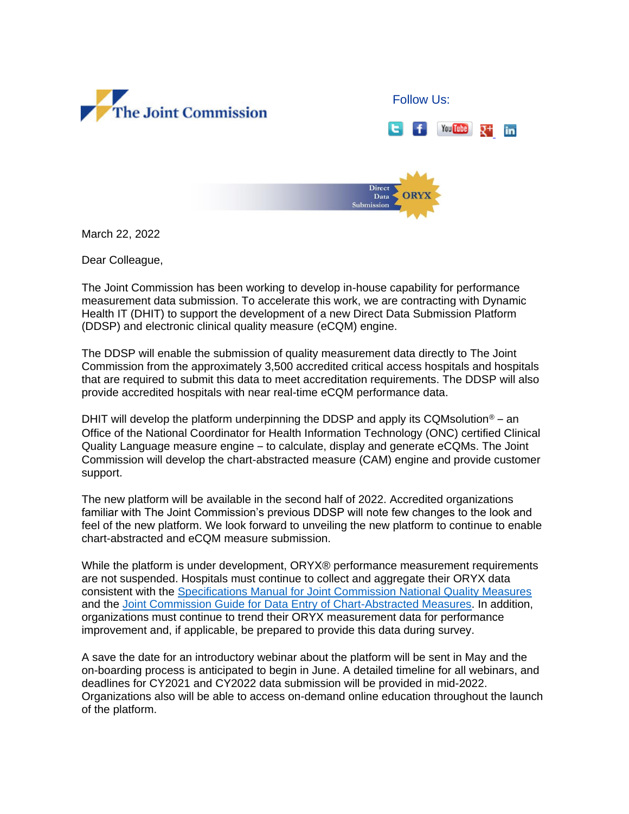



March 22, 2022

Dear Colleague,

The Joint Commission has been working to develop in-house capability for performance measurement data submission. To accelerate this work, we are contracting with Dynamic Health IT (DHIT) to support the development of a new Direct Data Submission Platform (DDSP) and electronic clinical quality measure (eCQM) engine.

The DDSP will enable the submission of quality measurement data directly to The Joint Commission from the approximately 3,500 accredited critical access hospitals and hospitals that are required to submit this data to meet accreditation requirements. The DDSP will also provide accredited hospitals with near real-time eCQM performance data.

DHIT will develop the platform underpinning the DDSP and apply its CQMsolution<sup>®</sup> – an Office of the National Coordinator for Health Information Technology (ONC) certified Clinical Quality Language measure engine – to calculate, display and generate eCQMs. The Joint Commission will develop the chart-abstracted measure (CAM) engine and provide customer support.

The new platform will be available in the second half of 2022. Accredited organizations familiar with The Joint Commission's previous DDSP will note few changes to the look and feel of the new platform. We look forward to unveiling the new platform to continue to enable chart-abstracted and eCQM measure submission.

While the platform is under development, ORYX® performance measurement requirements are not suspended. Hospitals must continue to collect and aggregate their ORYX data consistent with the [Specifications Manual for Joint Commission National Quality Measures](http://click.jointcommission-email.org/?qs=1fbbfa67078b8a47ade914742e1073cc27798a6a1354e8a8652cdce07bc2da8084490a3f4420943f437362c3b5729cca) and the [Joint Commission Guide for Data Entry of Chart-Abstracted Measures.](http://click.jointcommission-email.org/?qs=1fbbfa67078b8a47e3776b0709c8add2326acf6ecc38f813f8940475cabfd435b1d28e82871f9ae53670f02b3dfdf723) In addition, organizations must continue to trend their ORYX measurement data for performance improvement and, if applicable, be prepared to provide this data during survey.

A save the date for an introductory webinar about the platform will be sent in May and the on-boarding process is anticipated to begin in June. A detailed timeline for all webinars, and deadlines for CY2021 and CY2022 data submission will be provided in mid-2022. Organizations also will be able to access on-demand online education throughout the launch of the platform.